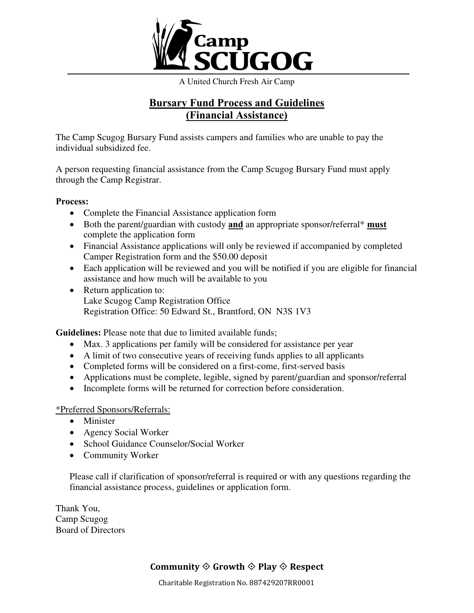

A United Church Fresh Air Camp

## **Bursary Fund Process and Guidelines (Financial Assistance)**

The Camp Scugog Bursary Fund assists campers and families who are unable to pay the individual subsidized fee.

A person requesting financial assistance from the Camp Scugog Bursary Fund must apply through the Camp Registrar.

#### **Process:**

- Complete the Financial Assistance application form
- Both the parent/guardian with custody **and** an appropriate sponsor/referral\* **must** complete the application form
- Financial Assistance applications will only be reviewed if accompanied by completed Camper Registration form and the \$50.00 deposit
- Each application will be reviewed and you will be notified if you are eligible for financial assistance and how much will be available to you
- Return application to: Lake Scugog Camp Registration Office Registration Office: 50 Edward St., Brantford, ON N3S 1V3

**Guidelines:** Please note that due to limited available funds;

- Max. 3 applications per family will be considered for assistance per year
- A limit of two consecutive years of receiving funds applies to all applicants
- Completed forms will be considered on a first-come, first-served basis
- Applications must be complete, legible, signed by parent/guardian and sponsor/referral
- Incomplete forms will be returned for correction before consideration.

### \*Preferred Sponsors/Referrals:

- Minister
- Agency Social Worker
- School Guidance Counselor/Social Worker
- Community Worker

Please call if clarification of sponsor/referral is required or with any questions regarding the financial assistance process, guidelines or application form.

Thank You, Camp Scugog Board of Directors

## **Community**  $\Diamond$  **Growth**  $\Diamond$  **Play**  $\Diamond$  **Respect**